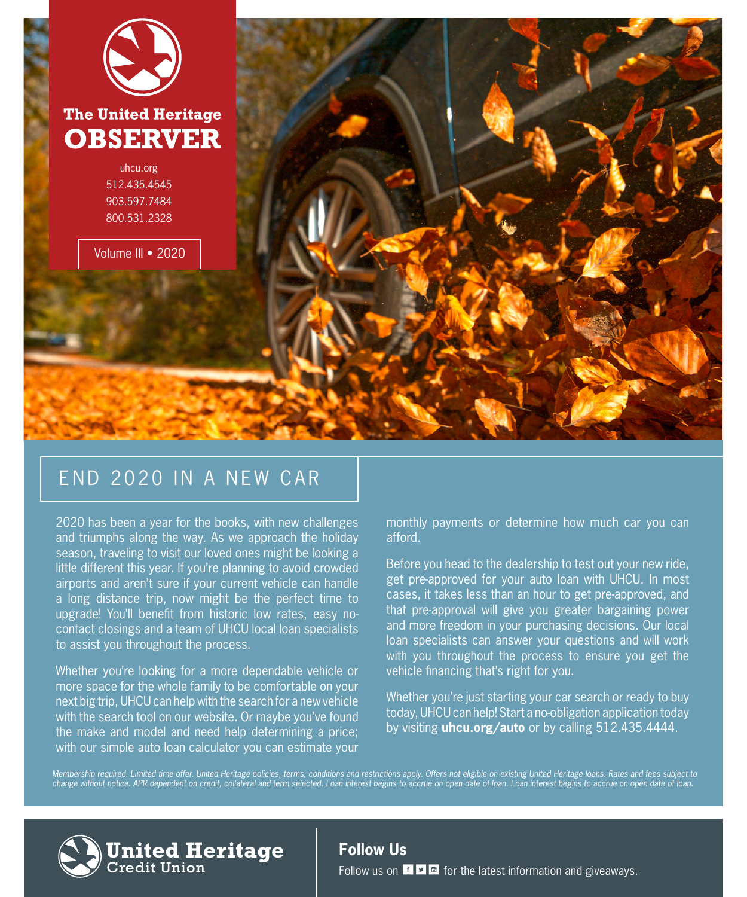

### END 2020 IN A NEW CAR

2020 has been a year for the books, with new challenges and triumphs along the way. As we approach the holiday season, traveling to visit our loved ones might be looking a little different this year. If you're planning to avoid crowded airports and aren't sure if your current vehicle can handle a long distance trip, now might be the perfect time to upgrade! You'll benefit from historic low rates, easy nocontact closings and a team of UHCU local loan specialists to assist you throughout the process.

Whether you're looking for a more dependable vehicle or more space for the whole family to be comfortable on your next big trip, UHCU can help with the search for a new vehicle with the search tool on our website. Or maybe you've found the make and model and need help determining a price; with our simple auto loan calculator you can estimate your

**United Heritage**<br><sub>Credit Union</sub>

monthly payments or determine how much car you can afford.

Before you head to the dealership to test out your new ride, get pre-approved for your auto loan with UHCU. In most cases, it takes less than an hour to get pre-approved, and that pre-approval will give you greater bargaining power and more freedom in your purchasing decisions. Our local loan specialists can answer your questions and will work with you throughout the process to ensure you get the vehicle financing that's right for you.

Whether you're just starting your car search or ready to buy today, UHCU can help! Start a no-obligation application today by visiting **uhcu.org/auto** or by calling 512.435.4444.

*[Membership required. Limited time offer. United Heritage policies, terms, conditions and restrictions apply. Offers not eligible on existing United Heritage loans. Rates and fees subject to](https://www.uhcu.org/loans/vehicle-loans/auto-loans) change without notice. APR dependent on credit, collateral and term selected. Loan interest begins to accrue on open date of loan. Loan interest begins to accrue on open date of loan.*



**Follow Us**

Follow us on  $\mathbf{f}$   $\bullet$   $\bullet$  for the latest information and giveaways.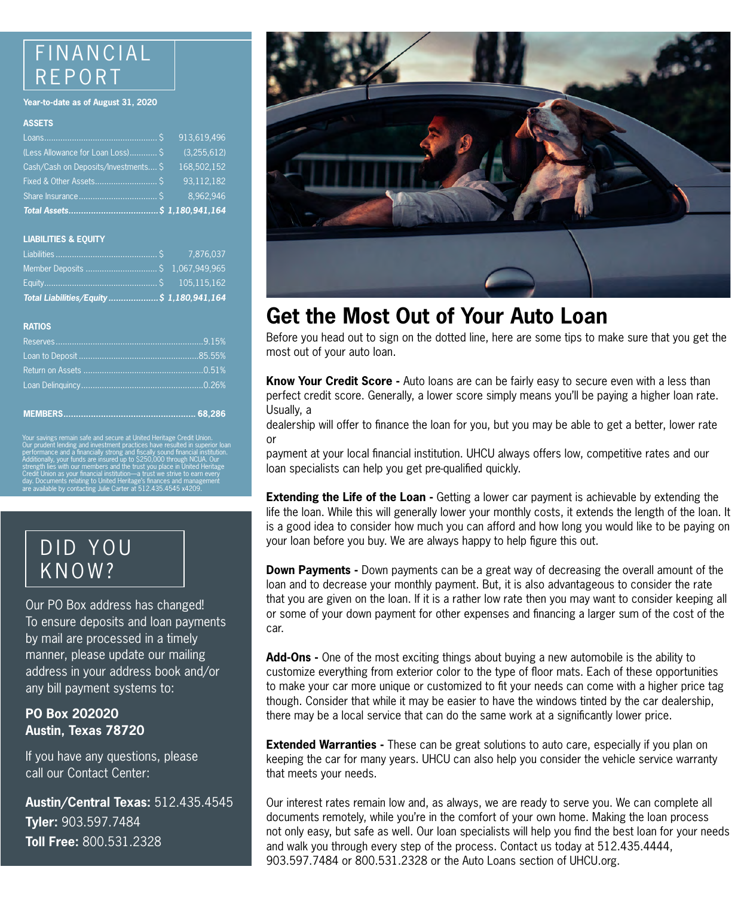### FINANCIAL REPORT

#### **Year-to-date as of August 31, 2020**

#### **ASSETS**

| (Less Allowance for Loan Loss) \$    | (3,255,612) |
|--------------------------------------|-------------|
| Cash/Cash on Deposits/Investments \$ | 168,502,152 |
|                                      | 93,112,182  |
|                                      |             |
|                                      |             |

#### **LIABILITIES & EQUITY**

| Member Deposits  \$ 1,067,949,965         |  |
|-------------------------------------------|--|
|                                           |  |
| Total Liabilities/Equity \$ 1,180,941,164 |  |

#### **RATIOS**

Your savings remain safe and secure at United Heritage Credit Union. Our prudent lending and investment practices have resulted in superior loan performance and a financially strong and fiscally sound financial institution. Additionally, your funds are insured up to \$250,000 through NCUA. Our strength lies with our members and the trust you place in United Heritage Credit Union as your financial institution—a trust we strive to earn every day. Documents relating to United Heritage's finances and management are available by contacting Julie Carter at 512.435.4545 x4209.

### DID YOU KNOW?

Our PO Box address has changed! [To ensure deposits and loan payments](https://www.uhcu.org/articles/2020/september/po-box-update)  by mail are processed in a timely manner, please update our mailing address in your address book and/or any bill payment systems to:

#### **PO Box 202020 Austin, Texas 78720**

If you have any questions, please call our Contact Center:

**Austin/Central Texas:** 512.435.4545 **Tyler:** 903.597.7484 **Toll Free:** 800.531.2328



# **[Get the Most Out of Your Auto Loan](https://www.uhcu.org/loans/vehicle-loans/auto-loans)**

Before you head out to sign on the dotted line, here are some tips to make sure that you get the most out of your auto loan.

**Know Your Credit Score -** Auto loans are can be fairly easy to secure even with a less than perfect credit score. Generally, a lower score simply means you'll be paying a higher loan rate. Usually, a

dealership will offer to finance the loan for you, but you may be able to get a better, lower rate or

payment at your local financial institution. UHCU always offers low, competitive rates and our loan specialists can help you get pre-qualified quickly.

**Extending the Life of the Loan -** Getting a lower car payment is achievable by extending the life the loan. While this will generally lower your monthly costs, it extends the length of the loan. It is a good idea to consider how much you can afford and how long you would like to be paying on your loan before you buy. We are always happy to help figure this out.

**Down Payments -** Down payments can be a great way of decreasing the overall amount of the loan and to decrease your monthly payment. But, it is also advantageous to consider the rate that you are given on the loan. If it is a rather low rate then you may want to consider keeping all or some of your down payment for other expenses and financing a larger sum of the cost of the car.

**Add-Ons -** One of the most exciting things about buying a new automobile is the ability to customize everything from exterior color to the type of floor mats. Each of these opportunities to make your car more unique or customized to fit your needs can come with a higher price tag though. Consider that while it may be easier to have the windows tinted by the car dealership, there may be a local service that can do the same work at a significantly lower price.

**Extended Warranties** - These can be great solutions to auto care, especially if you plan on keeping the car for many years. UHCU can also help you consider the vehicle service warranty that meets your needs.

Our interest rates remain low and, as always, we are ready to serve you. We can complete all documents remotely, while you're in the comfort of your own home. Making the loan process not only easy, but safe as well. Our loan specialists will help you find the best loan for your needs and walk you through every step of the process. Contact us today at 512.435.4444, 903.597.7484 or 800.531.2328 or the Auto Loans section of UHCU.org.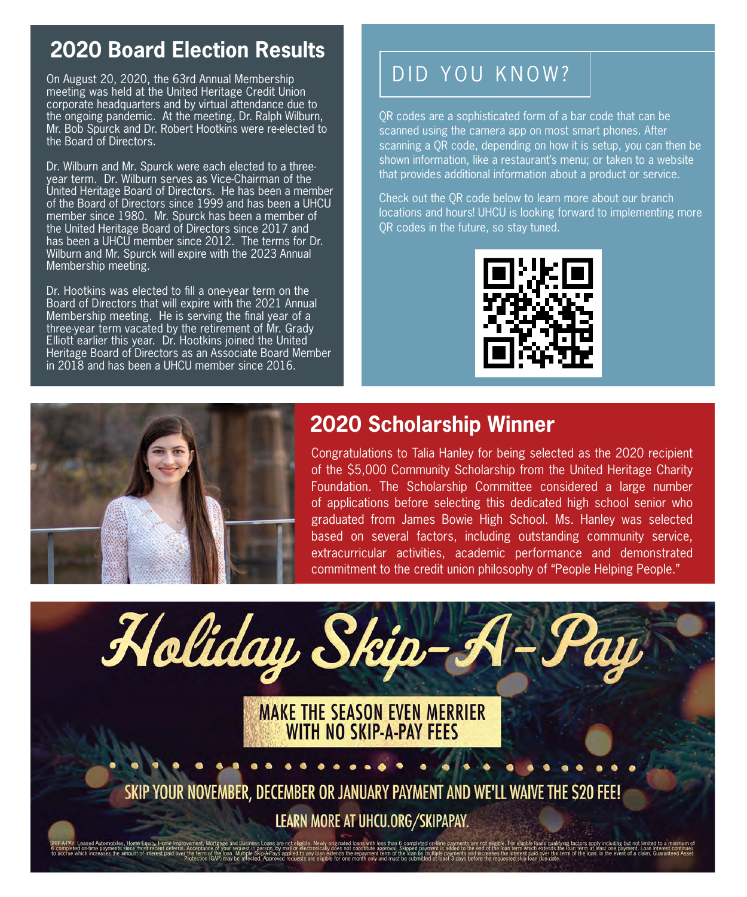# **2020 Board Election Results**

On August 20, 2020, the 63rd Annual Membership meeting was held at the United Heritage Credit Union corporate headquarters and by virtual attendance due to the ongoing pandemic. At the meeting, Dr. Ralph Wilburn, Mr. Bob Spurck and Dr. Robert Hootkins were re-elected to the Board of Directors.

Dr. Wilburn and Mr. Spurck were each elected to a threeyear term. Dr. Wilburn serves as Vice-Chairman of the United Heritage Board of Directors. He has been a member of the Board of Directors since 1999 and has been a UHCU member since 1980. Mr. Spurck has been a member of the United Heritage Board of Directors since 2017 and has been a UHCU member since 2012. The terms for Dr. Wilburn and Mr. Spurck will expire with the 2023 Annual Membership meeting.

Dr. Hootkins was elected to fill a one-year term on the Board of Directors that will expire with the 2021 Annual Membership meeting. He is serving the final year of a three-year term vacated by the retirement of Mr. Grady Elliott earlier this year. Dr. Hootkins joined the United Heritage Board of Directors as an Associate Board Member in 2018 and has been a UHCU member since 2016.

# DID YOU KNOW?

QR codes are a sophisticated form of a bar code that can be scanned using the camera app on most smart phones. After scanning a QR code, depending on how it is setup, you can then be shown information, like a restaurant's menu; or taken to a website that provides additional information about a product or service.

Check out the QR code below to learn more about our branch locations and hours! UHCU is looking forward to implementing more QR codes in the future, so stay tuned.





### **2020 Scholarship Winner**

Congratulations to Talia Hanley for being selected as the 2020 recipient of the \$5,000 Community Scholarship from the United Heritage Charity Foundation. The Scholarship Committee considered a large number of applications before selecting this dedicated high school senior who graduated from James Bowie High School. Ms. Hanley was selected based on several factors, including outstanding community service, extracurricular activities, academic performance and demonstrated commitment to the credit union philosophy of "People Helping People."